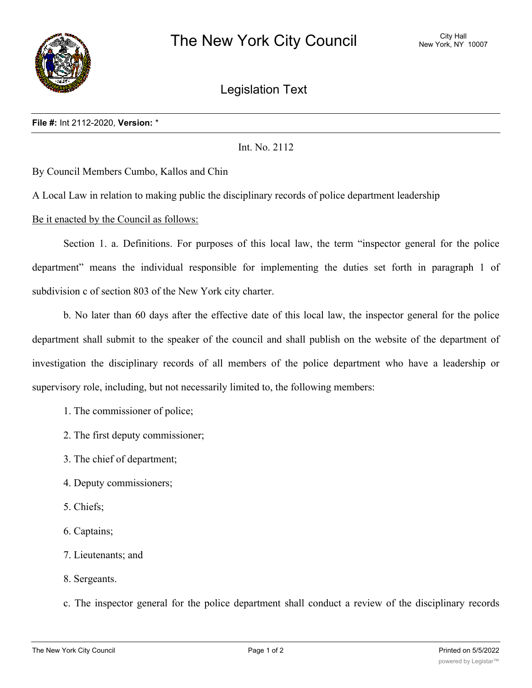

Legislation Text

Int. No. 2112

By Council Members Cumbo, Kallos and Chin

A Local Law in relation to making public the disciplinary records of police department leadership

Be it enacted by the Council as follows:

Section 1. a. Definitions. For purposes of this local law, the term "inspector general for the police department" means the individual responsible for implementing the duties set forth in paragraph 1 of subdivision c of section 803 of the New York city charter.

b. No later than 60 days after the effective date of this local law, the inspector general for the police department shall submit to the speaker of the council and shall publish on the website of the department of investigation the disciplinary records of all members of the police department who have a leadership or supervisory role, including, but not necessarily limited to, the following members:

- 1. The commissioner of police;
- 2. The first deputy commissioner;
- 3. The chief of department;
- 4. Deputy commissioners;
- 5. Chiefs;
- 6. Captains;
- 7. Lieutenants; and
- 8. Sergeants.

c. The inspector general for the police department shall conduct a review of the disciplinary records